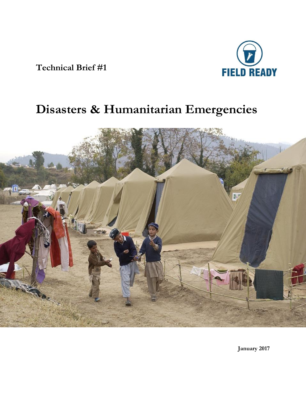**Technical Brief #1**



# **Disasters & Humanitarian Emergencies**



**January 2017**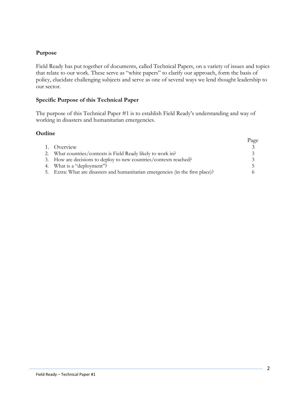## **Purpose**

Field Ready has put together of documents, called Technical Papers, on a variety of issues and topics that relate to our work. These serve as "white papers" to clarify our approach, form the basis of policy, elucidate challenging subjects and serve as one of several ways we lend thought leadership to our sector.

## **Specific Purpose of this Technical Paper**

The purpose of this Technical Paper #1 is to establish Field Ready's understanding and way of working in disasters and humanitarian emergencies.

## **Outline**

|                                                                                 | Page |
|---------------------------------------------------------------------------------|------|
| 1. Overview                                                                     |      |
| 2. What countries/contexts is Field Ready likely to work in?                    |      |
| 3. How are decisions to deploy to new countries/contexts reached?               |      |
| 4. What is a "deployment"?                                                      | 5    |
| 5. Extra: What are disasters and humanitarian emergencies (in the first place)? |      |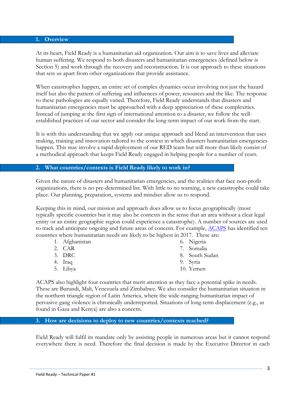#### **1. Overview**

At its heart, Field Ready is a humanitarian aid organization. Our aim is to save lives and alleviate human suffering. We respond to both disasters and humanitarian emergencies (defined below is Section 5) and work through the recovery and reconstruction. It is our approach to these situations that sets us apart from other organizations that provide assistance.

When catastrophes happen, an entire set of complex dynamics occur involving not just the hazard itself but also the pattern of suffering and influences of power, resources and the like. The response to these pathologies are equally varied. Therefore, Field Ready understands that disasters and humanitarian emergencies must be approached with a deep appreciation of these complexities. Instead of jumping at the first sign of international attention to a disaster, we follow the wellestablished practices of our sector and consider the long-term impact of our work from the start.

It is with this understanding that we apply our unique approach and blend an intervention that uses making, training and innovation tailored to the context in which disasters humanitarian emergencies happen. This may involve a rapid deployment of our RED team but will more than likely consist of a methodical approach that keeps Field Ready engaged in helping people for a number of years.

#### **2. What countries/contexts is Field Ready likely to work in?**

Given the nature of disasters and humanitarian emergencies, and the realities that face non-profit organizations, there is no pre-determined list. With little to no warning, a new catastrophe could take place. Our planning, preparation, systems and mindset allow us to respond.

Keeping this in mind, our mission and approach does allow us to focus geographically (most typically specific countries but it may also be contexts in the sense that an area without a clear legal entity or an entire geographic region could experience a catastrophe). A number of sources are used to track and anticipate ongoing and future areas of concern. For example, [ACAPS](https://www.acaps.org/) has identified ten countries where humanitarian needs are likely to be highest in 2017. These are:

- 1. Afghanistan
- 2. CAR
- 3. DRC
- 4. Iraq
- 5. Libya
- 6. Nigeria
- 7. Somalia
- 8. South Sudan
- 9. Syria
- 10. Yemen

ACAPS also highlight four countries that merit attention as they face a potential spike in needs. These are Burundi, Mali, Venezuela and Zimbabwe. We also consider the humanitarian situation in the northern triangle region of Latin America, where the wide-ranging humanitarian impact of pervasive gang violence is chronically underreported. Situations of long-term displacement (e.g., as found in Gaza and Kenya) are also a concern.

#### **3. How are decisions to deploy to new countries/contexts reached?**

Field Ready will fulfil its mandate only by assisting people in numerous areas but it cannot respond everywhere there is need. Therefore the final decision is made by the Executive Director in each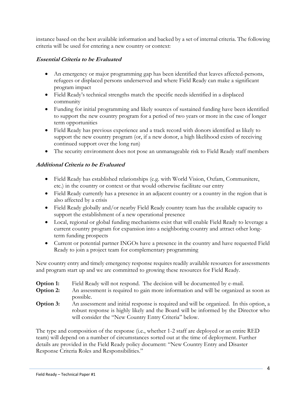instance based on the best available information and backed by a set of internal criteria. The following criteria will be used for entering a new country or context:

# **Essential Criteria to be Evaluated**

- An emergency or major programming gap has been identified that leaves affected-persons, refugees or displaced persons underserved and where Field Ready can make a significant program impact
- Field Ready's technical strengths match the specific needs identified in a displaced community
- Funding for initial programming and likely sources of sustained funding have been identified to support the new country program for a period of two years or more in the case of longer term opportunities
- Field Ready has previous experience and a track record with donors identified as likely to support the new country program (or, if a new donor, a high likelihood exists of receiving continued support over the long run)
- The security environment does not pose an unmanageable risk to Field Ready staff members

## **Additional Criteria to be Evaluated**

- Field Ready has established relationships (e.g. with World Vision, Oxfam, Communitere, etc.) in the country or context or that would otherwise facilitate our entry
- Field Ready currently has a presence in an adjacent country or a country in the region that is also affected by a crisis
- Field Ready globally and/or nearby Field Ready country team has the available capacity to support the establishment of a new operational presence
- Local, regional or global funding mechanisms exist that will enable Field Ready to leverage a current country program for expansion into a neighboring country and attract other longterm funding prospects
- Current or potential partner INGOs have a presence in the country and have requested Field Ready to join a project team for complementary programming

New country entry and timely emergency response requires readily available resources for assessments and program start up and we are committed to growing these resources for Field Ready.

- **Option 1:** Field Ready will not respond. The decision will be documented by e-mail.
- **Option 2:** An assessment is required to gain more information and will be organized as soon as possible.
- **Option 3:** An assessment and initial response is required and will be organized. In this option, a robust response is highly likely and the Board will be informed by the Director who will consider the "New Country Entry Criteria" below.

The type and composition of the response (i.e., whether 1-2 staff are deployed or an entire RED team) will depend on a number of circumstances sorted out at the time of deployment. Further details are provided in the Field Ready policy document: "New Country Entry and Disaster Response Criteria Roles and Responsibilities."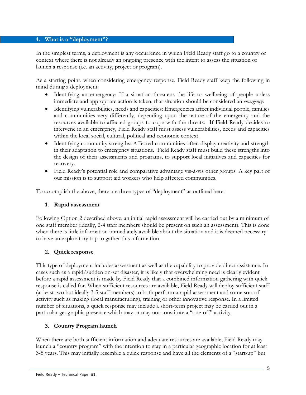#### **4. What is a "deployment"?**

In the simplest terms, a deployment is any occurrence in which Field Ready staff go to a country or context where there is not already an ongoing presence with the intent to assess the situation or launch a response (i.e. an activity, project or program).

As a starting point, when considering emergency response, Field Ready staff keep the following in mind during a deployment:

- Identifying an emergency: If a situation threatens the life or wellbeing of people unless immediate and appropriate action is taken, that situation should be considered an *emergency*.
- Identifying vulnerabilities, needs and capacities: Emergencies affect individual people, families and communities very differently, depending upon the nature of the emergency and the resources available to affected groups to cope with the threats. If Field Ready decides to intervene in an emergency, Field Ready staff must assess vulnerabilities, needs and capacities within the local social, cultural, political and economic context.
- Identifying community strengths: Affected communities often display creativity and strength in their adaptation to emergency situations. Field Ready staff must build these strengths into the design of their assessments and programs, to support local initiatives and capacities for recovery.
- Field Ready's potential role and comparative advantage vis-à-vis other groups. A key part of our mission is to support aid workers who help affected communities.

To accomplish the above, there are three types of "deployment" as outlined here:

## **1. Rapid assessment**

Following Option 2 described above, an initial rapid assessment will be carried out by a minimum of one staff member (ideally, 2-4 staff members should be present on such an assessment). This is done when there is little information immediately available about the situation and it is deemed necessary to have an exploratory trip to gather this information.

# **2. Quick response**

This type of deployment includes assessment as well as the capability to provide direct assistance. In cases such as a rapid/sudden on-set disaster, it is likely that overwhelming need is clearly evident before a rapid assessment is made by Field Ready that a combined information gathering with quick response is called for. When sufficient resources are available, Field Ready will deploy sufficient staff (at least two but ideally 3-5 staff members) to both perform a rapid assessment and some sort of activity such as making (local manufacturing), training or other innovative response. In a limited number of situations, a quick response may include a short-term project may be carried out in a particular geographic presence which may or may not constitute a "one-off" activity.

# **3. Country Program launch**

When there are both sufficient information and adequate resources are available, Field Ready may launch a "country program" with the intention to stay in a particular geographic location for at least 3-5 years. This may initially resemble a quick response and have all the elements of a "start-up" but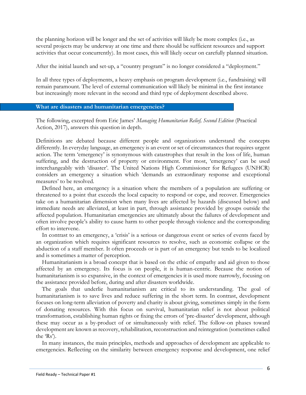the planning horizon will be longer and the set of activities will likely be more complex (i.e., as several projects may be underway at one time and there should be sufficient resources and support activities that occur concurrently). In most cases, this will likely occur on carefully planned situation.

After the initial launch and set-up, a "country program" is no longer considered a "deployment."

In all three types of deployments, a heavy emphasis on program development (i.e., fundraising) will remain paramount. The level of external communication will likely be minimal in the first instance but increasingly more relevant in the second and third type of deployment described above.

#### **What are disasters and humanitarian emergencies?**

The following, excerpted from Eric James' *Managing Humanitarian Relief, Second Edition* (Practical Action, 2017), answers this question in depth.

Definitions are debated because different people and organizations understand the concepts differently. In everyday language, an emergency is an event or set of circumstances that requires urgent action. The term 'emergency' is synonymous with catastrophes that result in the loss of life, human suffering, and the destruction of property or environment. For most, 'emergency' can be used interchangeably with 'disaster'. The United Nations High Commissioner for Refugees (UNHCR) considers an emergency a situation which 'demands an extraordinary response and exceptional measures' to be resolved.

Defined here, an emergency is a situation where the members of a population are suffering or threatened to a point that exceeds the local capacity to respond or cope, and recover. Emergencies take on a humanitarian dimension when many lives are affected by hazards (discussed below) and immediate needs are alleviated, at least in part, through assistance provided by groups outside the affected population. Humanitarian emergencies are ultimately about the failures of development and often involve people's ability to cause harm to other people through violence and the corresponding effort to intervene.

In contrast to an emergency, a 'crisis' is a serious or dangerous event or series of events faced by an organization which requires significant resources to resolve, such as economic collapse or the abduction of a staff member. It often proceeds or is part of an emergency but tends to be localized and is sometimes a matter of perception.

Humanitarianism is a broad concept that is based on the ethic of empathy and aid given to those affected by an emergency. Its focus is on people, it is human-centric. Because the notion of humanitarianism is so expansive, in the context of emergencies it is used more narrowly, focusing on the assistance provided before, during and after disasters worldwide.

The goals that underlie humanitarianism are critical to its understanding. The goal of humanitarianism is to save lives and reduce suffering in the short term. In contrast, development focuses on long-term alleviation of poverty and charity is about giving, sometimes simply in the form of donating resources. With this focus on survival, humanitarian relief is not about political transformation, establishing human rights or fixing the errors of 'pre-disaster' development, although these may occur as a by-product of or simultaneously with relief. The follow-on phases toward development are known as recovery, rehabilitation, reconstruction and reintegration (sometimes called the 'Rs').

In many instances, the main principles, methods and approaches of development are applicable to emergencies. Reflecting on the similarity between emergency response and development, one relief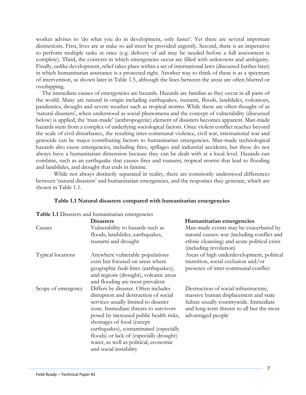worker advises to 'do what you do in development, only faster'. Yet there are several important distinctions. First, lives are at stake so aid must be provided urgently. Second, there is an imperative to perform multiple tasks at once (e.g. delivery of aid may be needed before a full assessment is complete). Third, the contexts in which emergencies occur are filled with unknowns and ambiguity. Finally, unlike development, relief takes place within a set of international laws (discussed further later) in which humanitarian assistance is a protected right. Another way to think of these is as a spectrum of intervention, as shown later in Table 1.5, although the lines between the areas are often blurred or overlapping.

The immediate causes of emergencies are hazards. Hazards are familiar as they occur in all parts of the world. Many are natural in origin including earthquakes, tsunami, floods, landslides, volcanoes, pandemics, drought and severe weather such as tropical storms. While these are often thought of as 'natural disasters', when understood as social phenomena and the concept of vulnerability (discussed below) is applied, the 'man-made' (anthropogenic) element of disasters becomes apparent. Man-made hazards stem from a complex of underlying sociological factors. Once violent conflict reaches beyond the scale of civil disturbance, the resulting inter-communal violence, civil war, international war and genocide can be major contributing factors to humanitarian emergencies. Man-made technological hazards also cause emergencies, including fires, spillages and industrial accidents, but these do not always have a humanitarian dimension because they can be dealt with at a local level. Hazards can combine, such as an earthquake that causes fires and tsunami, tropical storms that lead to flooding and landslides, and drought that ends in famine.

While not always distinctly separated in reality, there are commonly understood differences between 'natural disasters' and humanitarian emergencies, and the responses they generate, which are shown in Table 1.1.

|                    | Table 1.1 Disasters and humanitarian emergencies                                                                                                                                                                                                                                                                                                                                            |                                                                                                                                                                                           |
|--------------------|---------------------------------------------------------------------------------------------------------------------------------------------------------------------------------------------------------------------------------------------------------------------------------------------------------------------------------------------------------------------------------------------|-------------------------------------------------------------------------------------------------------------------------------------------------------------------------------------------|
|                    | <b>Disasters</b>                                                                                                                                                                                                                                                                                                                                                                            | Humanitarian emergencies                                                                                                                                                                  |
| Causes             | Vulnerability to hazards such as<br>floods, landslides, earthquakes,<br>tsunami and drought                                                                                                                                                                                                                                                                                                 | Man-made events may be exacerbated by<br>natural causes: war (including conflict and<br>ethnic cleansing) and acute political crisis<br>(including revolution)                            |
| Typical locations  | Anywhere vulnerable populations<br>exist but focused on areas where<br>geographic fault-lines (earthquakes),<br>arid regions (drought), volcanic areas<br>and flooding are most prevalent                                                                                                                                                                                                   | Areas of high underdevelopment, political<br>transition, social exclusion and/or<br>presence of inter-communal conflict                                                                   |
| Scope of emergency | Differs by disaster. Often includes<br>disruption and destruction of social<br>services usually limited to disaster<br>zone. Immediate threats to survivors<br>posed by increased public health risks,<br>shortages of food (except<br>earthquakes), contaminated (especially<br>floods) or lack of (especially drought)<br>water, as well as political, economic<br>and social instability | Destruction of social infrastructure,<br>massive human displacement and state<br>failure usually countrywide. Immediate<br>and long-term threats to all but the most<br>advantaged people |

#### **Table 1.1 Natural disasters compared with humanitarian emergencies**

|  | Table 1.1 Disasters and humanitarian emergencies |  |
|--|--------------------------------------------------|--|
|  |                                                  |  |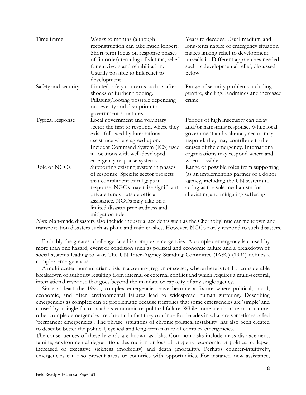| Time frame          | Weeks to months (although<br>reconstruction can take much longer):<br>Short-term focus on response phases<br>of (in order) rescuing of victims, relief<br>for survivors and rehabilitation.<br>Usually possible to link relief to<br>development                                     | Years to decades: Usual medium-and<br>long-term nature of emergency situation<br>makes linking relief to development<br>unrealistic. Different approaches needed<br>such as developmental relief, discussed<br>below                                           |
|---------------------|--------------------------------------------------------------------------------------------------------------------------------------------------------------------------------------------------------------------------------------------------------------------------------------|----------------------------------------------------------------------------------------------------------------------------------------------------------------------------------------------------------------------------------------------------------------|
| Safety and security | Limited safety concerns such as after-<br>shocks or further flooding.<br>Pillaging/looting possible depending<br>on severity and disruption to<br>government structures                                                                                                              | Range of security problems including<br>gunfire, shelling, landmines and increased<br>crime                                                                                                                                                                    |
| Typical response    | Local government and voluntary<br>sector the first to respond, where they<br>exist, followed by international<br>assistance where agreed upon.<br>Incident Command System (ICS) used<br>in locations with well-developed<br>emergency response systems                               | Periods of high insecurity can delay<br>and/or hamstring response. While local<br>government and voluntary sector may<br>respond, they may contribute to the<br>causes of the emergency. International<br>organizations may respond where and<br>when possible |
| Role of NGOs        | Supporting existing system in phases<br>of response. Specific sector projects<br>that compliment or fill gaps in<br>response. NGOs may raise significant<br>private funds outside official<br>assistance. NGOs may take on a<br>limited disaster preparedness and<br>mitigation role | Range of possible roles from supporting<br>(as an implementing partner of a donor<br>agency, including the UN system) to<br>acting as the sole mechanism for<br>alleviating and mitigating suffering                                                           |

*Note*: Man-made disasters also include industrial accidents such as the Chernobyl nuclear meltdown and transportation disasters such as plane and train crashes. However, NGOs rarely respond to such disasters.

Probably the greatest challenge faced is complex emergencies. A complex emergency is caused by more than one hazard, event or condition such as political and economic failure and a breakdown of social systems leading to war. The UN Inter-Agency Standing Committee (IASC) (1994) defines a complex emergency as:

A multifaceted humanitarian crisis in a country, region or society where there is total or considerable breakdown of authority resulting from internal or external conflict and which requires a multi-sectoral, international response that goes beyond the mandate or capacity of any single agency.

Since at least the 1990s, complex emergencies have become a fixture where political, social, economic, and often environmental failures lead to widespread human suffering. Describing emergencies as complex can be problematic because it implies that some emergencies are 'simple' and caused by a single factor, such as economic or political failure. While some are short term in nature, other complex emergencies are chronic in that they continue for decades in what are sometimes called 'permanent emergencies'. The phrase 'situations of chronic political instability' has also been created to describe better the political, cyclical and long-term nature of complex emergencies.

The consequences of these hazards are known as risks. Common risks include mass displacement, famine, environmental degradation, destruction or loss of property, economic or political collapse, increased or excessive sickness (morbidity) and death (mortality). Perhaps counter-intuitively, emergencies can also present areas or countries with opportunities. For instance, new assistance,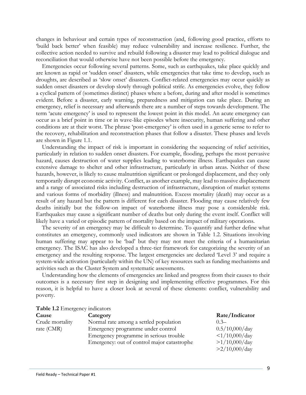changes in behaviour and certain types of reconstruction (and, following good practice, efforts to 'build back better' when feasible) may reduce vulnerability and increase resilience. Further, the collective action needed to survive and rebuild following a disaster may lead to political dialogue and reconciliation that would otherwise have not been possible before the emergency.

Emergencies occur following several patterns. Some, such as earthquakes, take place quickly and are known as rapid or 'sudden onset' disasters, while emergencies that take time to develop, such as droughts, are described as 'slow onset' disasters. Conflict-related emergencies may occur quickly as sudden onset disasters or develop slowly through political strife. As emergencies evolve, they follow a cyclical pattern of (sometimes distinct) phases where a before, during and after model is sometimes evident. Before a disaster, early warning, preparedness and mitigation can take place. During an emergency, relief is necessary and afterwards there are a number of steps towards development. The term 'acute emergency' is used to represent the lowest point in this model. An acute emergency can occur as a brief point in time or in wave-like episodes where insecurity, human suffering and other conditions are at their worst. The phrase 'post-emergency' is often used in a generic sense to refer to the recovery, rehabilitation and reconstruction phases that follow a disaster. These phases and levels are shown in Figure 1.1.

Understanding the impact of risk is important in considering the sequencing of relief activities, particularly in relation to sudden onset disasters. For example, flooding, perhaps the most pervasive hazard, causes destruction of water supplies leading to waterborne illness. Earthquakes can cause extensive damage to shelter and other infrastructure, particularly in urban areas. Neither of these hazards, however, is likely to cause malnutrition significant or prolonged displacement, and they only temporarily disrupt economic activity. Conflict, as another example, may lead to massive displacement and a range of associated risks including destruction of infrastructure, disruption of market systems and various forms of morbidity (illness) and malnutrition. Excess mortality (death) may occur as a result of any hazard but the pattern is different for each disaster. Flooding may cause relatively few deaths initially but the follow-on impact of waterborne illness may pose a considerable risk. Earthquakes may cause a significant number of deaths but only during the event itself. Conflict will likely have a varied or episodic pattern of mortality based on the impact of military operations.

The severity of an emergency may be difficult to determine. To quantify and further define what constitutes an emergency, commonly used indicators are shown in Table 1.2. Situations involving human suffering may appear to be 'bad' but they may not meet the criteria of a humanitarian emergency. The ISAC has also developed a three-tier framework for categorizing the severity of an emergency and the resulting response. The largest emergencies are declared 'Level 3' and require a system-wide activation (particularly within the UN) of key resources such as funding mechanisms and activities such as the Cluster System and systematic assessments.

Understanding how the elements of emergencies are linked and progress from their causes to their outcomes is a necessary first step in designing and implementing effective programmes. For this reason, it is helpful to have a closer look at several of these elements: conflict, vulnerability and poverty.

| Cause           | Category                                    | Rate/Indicator                        |
|-----------------|---------------------------------------------|---------------------------------------|
| Crude mortality | Normal rate among a settled population      | $0.3-$                                |
| rate (CMR)      | Emergency programme under control           | 0.5/10,000/day                        |
|                 | Emergency programme in serious trouble      | $\langle 1/10,000/\text{day} \rangle$ |
|                 | Emergency: out of control major catastrophe | >1/10,000/day                         |
|                 |                                             | >2/10,000/day                         |

#### **Table 1.2** Emergency indicators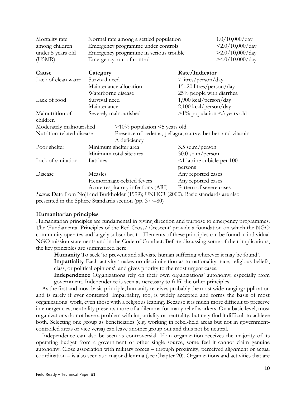| Mortality rate                                              | Normal rate among a settled population |                                                                                      | 1.0/10,000/day                    |                           |  |
|-------------------------------------------------------------|----------------------------------------|--------------------------------------------------------------------------------------|-----------------------------------|---------------------------|--|
| among children                                              | Emergency programme under controls     |                                                                                      |                                   | $\langle 2.0/10,000/$ day |  |
| Emergency programme in serious trouble<br>under 5 years old |                                        |                                                                                      |                                   | >2.0/10,000/day           |  |
| (U5MR)                                                      |                                        | Emergency: out of control                                                            |                                   | >4.0/10,000/day           |  |
| Cause<br>Category                                           |                                        |                                                                                      | Rate/Indicator                    |                           |  |
| Lack of clean water                                         | Survival need                          |                                                                                      | 7 litres/person/day               |                           |  |
|                                                             | Maintenance allocation                 |                                                                                      | $15-20$ litres/person/day         |                           |  |
|                                                             |                                        | Waterborne disease                                                                   |                                   | 25% people with diarrhea  |  |
| Lack of food                                                | Survival need                          |                                                                                      | $1,900$ kcal/person/day           |                           |  |
|                                                             | Maintenance                            |                                                                                      | 2,100 kcal/person/day             |                           |  |
| Malnutrition of                                             |                                        | Severely malnourished                                                                | $>1\%$ population $<$ 5 years old |                           |  |
| children                                                    |                                        |                                                                                      |                                   |                           |  |
| Moderately malnourished                                     |                                        | $>10\%$ population $<$ 5 years old                                                   |                                   |                           |  |
| Nutrition-related disease                                   |                                        | Presence of oedema, pellagra, scurvy, beriberi and vitamin<br>A deficiency           |                                   |                           |  |
| Poor shelter                                                |                                        | Minimum shelter area                                                                 | $3.5$ sq.m/person                 |                           |  |
|                                                             | Minimum total site area                |                                                                                      | $30.0$ sq.m/person                |                           |  |
| Lack of sanitation                                          | Latrines                               |                                                                                      | <1 latrine cubicle per 100        |                           |  |
|                                                             |                                        |                                                                                      | persons                           |                           |  |
| Disease                                                     | Measles                                |                                                                                      | Any reported cases                |                           |  |
|                                                             |                                        | Hemorrhagic-related fevers                                                           | Any reported cases                |                           |  |
|                                                             |                                        | Acute respiratory infections (ARI)                                                   | Pattern of severe cases           |                           |  |
|                                                             |                                        | Source: Data from Noji and Burkholder (1999); UNHCR (2000). Basic standards are also |                                   |                           |  |
|                                                             |                                        |                                                                                      |                                   |                           |  |

presented in the Sphere Standards section (pp. 377–80)

## **Humanitarian principles**

Humanitarian principles are fundamental in giving direction and purpose to emergency programmes. The 'Fundamental Principles of the Red Cross/ Crescent' provide a foundation on which the NGO community operates and largely subscribes to. Elements of these principles can be found in individual NGO mission statements and in the Code of Conduct. Before discussing some of their implications, the key principles are summarized here.

**Humanity** To seek 'to prevent and alleviate human suffering wherever it may be found'.

**Impartiality** Each activity 'makes no discrimination as to nationality, race, religious beliefs, class, or political opinions', and gives priority to the most urgent cases.

**Independence** Organizations rely on their own organizations' autonomy, especially from government. Independence is seen as necessary to fulfil the other principles.

As the first and most basic principle, humanity receives probably the most wide-ranging application and is rarely if ever contested. Impartiality, too, is widely accepted and forms the basis of most organizations' work, even those with a religious leaning. Because it is much more difficult to preserve in emergencies, neutrality presents more of a dilemma for many relief workers. On a basic level, most organizations do not have a problem with impartiality or neutrality, but may find it difficult to achieve both. Selecting one group as beneficiaries (e.g. working in rebel-held areas but not in governmentcontrolled areas or vice versa) can leave another group out and thus not be neutral.

Independence can also be seen as controversial. If an organization receives the majority of its operating budget from a government or other single source, some feel it cannot claim genuine autonomy. Close association with military forces – through proximity, perceived alignment or actual coordination – is also seen as a major dilemma (see Chapter 20). Organizations and activities that are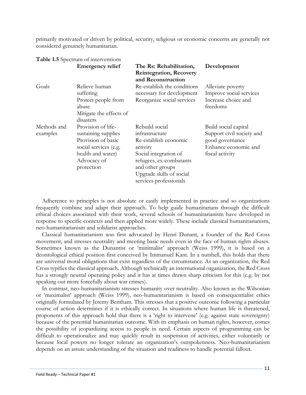primarily motivated or driven by political, security, religious or economic concerns are generally not considered genuinely humanitarian.

|                         | Table 1.5 Spectrum of interventions                                                                                                        |                                                                                                                                                                                                     |                                                                                                                 |
|-------------------------|--------------------------------------------------------------------------------------------------------------------------------------------|-----------------------------------------------------------------------------------------------------------------------------------------------------------------------------------------------------|-----------------------------------------------------------------------------------------------------------------|
|                         | <b>Emergency relief</b>                                                                                                                    | The Rs: Rehabilitation,<br><b>Reintegration, Recovery</b><br>and Reconstruction                                                                                                                     | Development                                                                                                     |
| Goals                   | Relieve human<br>suffering<br>Protect people from<br>abuse<br>Mitigate the effects of<br>disasters                                         | Re-establish the conditions<br>necessary for development<br>Reorganize social services                                                                                                              | Alleviate poverty<br>Improve social services<br>Increase choice and<br>freedoms                                 |
| Methods and<br>examples | Provision of life-<br>sustaining supplies<br>Provision of basic<br>social services (e.g.<br>health and water)<br>Advocacy of<br>protection | Rebuild social<br>infrastructure<br>Re-establish economic<br>activity<br>Social integration of<br>refugees, ex-combatants<br>and other groups<br>Upgrade skills of social<br>services professionals | Build social capital<br>Support civil society and<br>good governance<br>Enhance economic and<br>fiscal activity |

Adherence to principles is not absolute or easily implemented in practice and so organizations frequently combine and adapt their approach. To help guide humanitarians through the difficult ethical choices associated with their work, several schools of humanitarianism have developed in response to specific contexts and then applied more widely. These include classical humanitarianism, neo-humanitarianism and solidarist approaches.

Classical humanitarianism was first advocated by Henri Dunant, a founder of the Red Cross movement, and stresses neutrality and meeting basic needs even in the face of human rights abuses. Sometimes known as the Dunantist or 'minimalist' approach (Weiss 1999), it is based on a deontological ethical position first conceived by Immanuel Kant. In a nutshell, this holds that there are universal moral obligations that exist regardless of the circumstance. As an organization, the Red Cross typifies the classical approach. Although technically an international organization, the Red Cross has a strongly neutral operating policy and it has at times drawn sharp criticism for this (e.g. by not speaking out more forcefully about war crimes).

In contrast, neo-humanitarianism stresses humanity over neutrality. Also known as the Wilsonian or 'maximalist' approach (Weiss 1999), neo-humanitarianism is based on consequentialist ethics originally formulated by Jeremy Bentham. This stresses that a positive outcome following a particular course of action determines if it is ethically correct. In situations where human life is threatened, proponents of this approach hold that there is a 'right to intervene' (e.g. against state sovereignty) because of the potential humanitarian outcome. With its emphasis on human rights, however, comes the possibility of jeopardizing access to people in need. Certain aspects of programming can be difficult to operationalize and may quickly result in suspension of activities, either voluntarily or because local powers no longer tolerate an organization's outspokenness. Neo-humanitarianism depends on an astute understanding of the situation and readiness to handle potential fallout.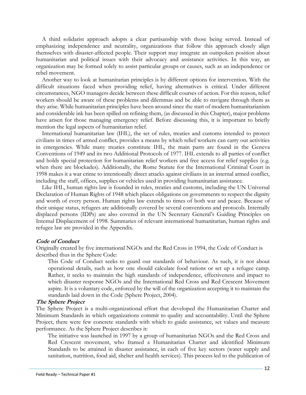A third solidarist approach adopts a clear partisanship with those being served. Instead of emphasizing independence and neutrality, organizations that follow this approach closely align themselves with disaster-affected people. Their support may integrate an outspoken position about humanitarian and political issues with their advocacy and assistance activities. In this way, an organization may be formed solely to assist particular groups or causes, such as an independence or rebel movement.

Another way to look at humanitarian principles is by different options for intervention. With the difficult situations faced when providing relief, having alternatives is critical. Under different circumstances, NGO managers decide between these difficult courses of action. For this reason, relief workers should be aware of these problems and dilemmas and be able to navigate through them as they arise. While humanitarian principles have been around since the start of modern humanitarianism and considerable ink has been spilled on refining them, (as discussed in this Chapter), major problems have arisen for those managing emergency relief. Before discussing this, it is important to briefly mention the legal aspects of humanitarian relief.

International humanitarian law (IHL), the set of rules, treaties and customs intended to protect civilians in times of armed conflict, provides a means by which relief workers can carry out activities in emergencies. While many treaties constitute IHL, the main parts are found in the Geneva Conventions of 1949 and its two Additional Protocols of 1977. IHL extends to all parties of conflict and holds special protection for humanitarian relief workers and free access for relief supplies (e.g. when there are blockades). Additionally, the Rome Statute for the International Criminal Court in 1998 makes it a war crime to intentionally direct attacks against civilians in an internal armed conflict, including the staff, offices, supplies or vehicles used in providing humanitarian assistance.

Like IHL, human rights law is founded in rules, treaties and customs, including the UN Universal Declaration of Human Rights of 1948 which places obligations on governments to respect the dignity and worth of every person. Human rights law extends to times of both war and peace. Because of their unique status, refugees are additionally covered by several conventions and protocols. Internally displaced persons (IDPs) are also covered in the UN Secretary General's Guiding Principles on Internal Displacement of 1998. Summaries of relevant international humanitarian, human rights and refugee law are provided in the Appendix.

#### **Code of Conduct**

Originally created by five international NGOs and the Red Cross in 1994, the Code of Conduct is described thus in the Sphere Code:

This Code of Conduct seeks to guard our standards of behaviour. As such, it is not about operational details, such as how one should calculate food rations or set up a refugee camp. Rather, it seeks to maintain the high standards of independence, effectiveness and impact to which disaster response NGOs and the International Red Cross and Red Crescent Movement aspire. It is a voluntary code, enforced by the will of the organization accepting it to maintain the standards laid down in the Code (Sphere Project, 2004).

#### **The Sphere Project**

The Sphere Project is a multi-organizational effort that developed the Humanitarian Charter and Minimum Standards in which organizations commit to quality and accountability. Until the Sphere Project, there were few concrete standards with which to guide assistance, set values and measure performance. As the Sphere Project describes it:

The initiative was launched in 1997 by a group of humanitarian NGOs and the Red Cross and Red Crescent movement, who framed a Humanitarian Charter and identified Minimum Standards to be attained in disaster assistance, in each of five key sectors (water supply and sanitation, nutrition, food aid, shelter and health services). This process led to the publication of